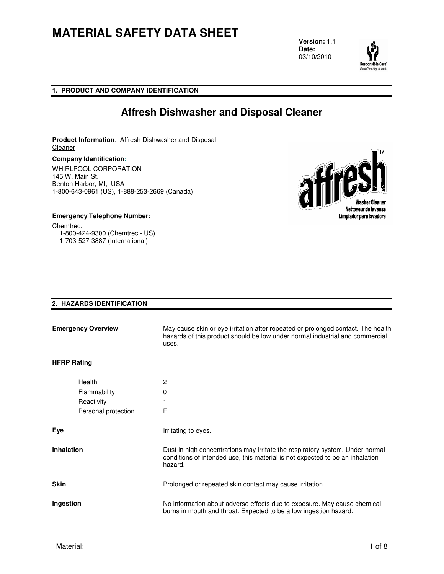**Version:** 1.1 **Date:** 03/10/2010



**1. PRODUCT AND COMPANY IDENTIFICATION**

### **Affresh Dishwasher and Disposal Cleaner**

**Product Information**: Affresh Dishwasher and Disposal **Cleaner** 

**Company Identification:** WHIRLPOOL CORPORATION 145 W. Main St. Benton Harbor, MI, USA 1-800-643-0961 (US), 1-888-253-2669 (Canada)



**Emergency Telephone Number:**  Chemtrec: 1-800-424-9300 (Chemtrec - US) 1-703-527-3887 (International)

### **2. HAZARDS IDENTIFICATION**

| <b>Emergency Overview</b> |                                                             | May cause skin or eye irritation after repeated or prolonged contact. The health<br>hazards of this product should be low under normal industrial and commercial<br>uses. |
|---------------------------|-------------------------------------------------------------|---------------------------------------------------------------------------------------------------------------------------------------------------------------------------|
| <b>HFRP Rating</b>        |                                                             |                                                                                                                                                                           |
|                           | Health<br>Flammability<br>Reactivity<br>Personal protection | 2<br>0<br>Е                                                                                                                                                               |
| Eye                       |                                                             | Irritating to eyes.                                                                                                                                                       |
| <b>Inhalation</b>         |                                                             | Dust in high concentrations may irritate the respiratory system. Under normal<br>conditions of intended use, this material is not expected to be an inhalation<br>hazard. |
| <b>Skin</b>               |                                                             | Prolonged or repeated skin contact may cause irritation.                                                                                                                  |
| Ingestion                 |                                                             | No information about adverse effects due to exposure. May cause chemical<br>burns in mouth and throat. Expected to be a low ingestion hazard.                             |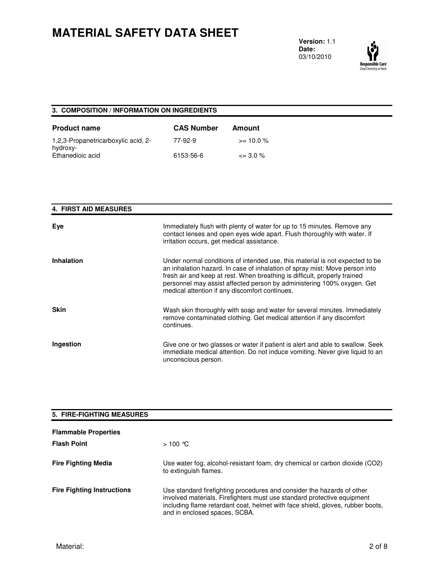**Version:** 1.1 **Date:** 03/10/2010



### **3. COMPOSITION / INFORMATION ON INGREDIENTS**

| <b>Product name</b>                             | <b>CAS Number</b> | Amount       |
|-------------------------------------------------|-------------------|--------------|
| 1,2,3-Propanetricarboxylic acid, 2-<br>hydroxy- | 77-92-9           | $>= 10.0 \%$ |
| Ethanedioic acid                                | 6153-56-6         | $\leq$ 3.0 % |

#### **4. FIRST AID MEASURES**

| Eye               | Immediately flush with plenty of water for up to 15 minutes. Remove any<br>contact lenses and open eyes wide apart. Flush thoroughly with water. If<br>irritation occurs, get medical assistance.                                                                                                                                                                    |
|-------------------|----------------------------------------------------------------------------------------------------------------------------------------------------------------------------------------------------------------------------------------------------------------------------------------------------------------------------------------------------------------------|
| <b>Inhalation</b> | Under normal conditions of intended use, this material is not expected to be<br>an inhalation hazard. In case of inhalation of spray mist: Move person into<br>fresh air and keep at rest. When breathing is difficult, properly trained<br>personnel may assist affected person by administering 100% oxygen. Get<br>medical attention if any discomfort continues. |
| <b>Skin</b>       | Wash skin thoroughly with soap and water for several minutes. Immediately<br>remove contaminated clothing. Get medical attention if any discomfort<br>continues.                                                                                                                                                                                                     |
| Ingestion         | Give one or two glasses or water if patient is alert and able to swallow. Seek<br>immediate medical attention. Do not induce vomiting. Never give liquid to an<br>unconscious person.                                                                                                                                                                                |

| <b>5. FIRE-FIGHTING MEASURES</b>  |                                                                                                                                                                                                                                                                      |
|-----------------------------------|----------------------------------------------------------------------------------------------------------------------------------------------------------------------------------------------------------------------------------------------------------------------|
| <b>Flammable Properties</b>       |                                                                                                                                                                                                                                                                      |
| <b>Flash Point</b>                | $>100$ °C                                                                                                                                                                                                                                                            |
| <b>Fire Fighting Media</b>        | Use water fog, alcohol-resistant foam, dry chemical or carbon dioxide (CO2)<br>to extinguish flames.                                                                                                                                                                 |
| <b>Fire Fighting Instructions</b> | Use standard firefighting procedures and consider the hazards of other<br>involved materials. Firefighters must use standard protective equipment<br>including flame retardant coat, helmet with face shield, gloves, rubber boots,<br>and in enclosed spaces, SCBA. |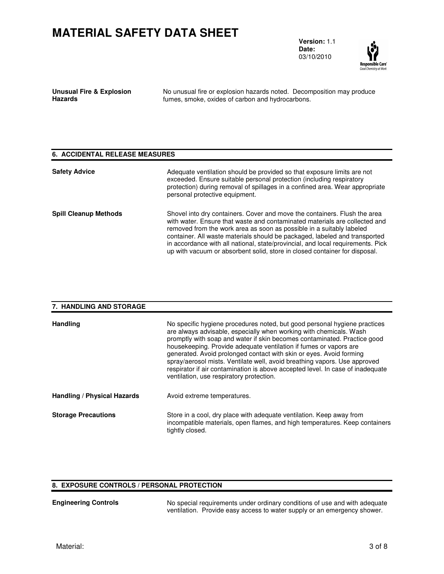**Version:** 1.1 **Date:** 03/10/2010



| <b>Unusual Fire &amp; Explosion</b> | No unusual fire |
|-------------------------------------|-----------------|
| <b>Hazards</b>                      | fumes, smoke,   |

or explosion hazards noted. Decomposition may produce oxides of carbon and hydrocarbons.

#### **6. ACCIDENTAL RELEASE MEASURES**

| <b>Safety Advice</b>         | Adequate ventilation should be provided so that exposure limits are not<br>exceeded. Ensure suitable personal protection (including respiratory<br>protection) during removal of spillages in a confined area. Wear appropriate<br>personal protective equipment.                                                                                                                                                                                                              |
|------------------------------|--------------------------------------------------------------------------------------------------------------------------------------------------------------------------------------------------------------------------------------------------------------------------------------------------------------------------------------------------------------------------------------------------------------------------------------------------------------------------------|
| <b>Spill Cleanup Methods</b> | Shovel into dry containers. Cover and move the containers. Flush the area<br>with water. Ensure that waste and contaminated materials are collected and<br>removed from the work area as soon as possible in a suitably labeled<br>container. All waste materials should be packaged, labeled and transported<br>in accordance with all national, state/provincial, and local requirements. Pick<br>up with vacuum or absorbent solid, store in closed container for disposal. |

### **7. HANDLING AND STORAGE Handling** No specific hygiene procedures noted, but good personal hygiene practices are always advisable, especially when working with chemicals. Wash promptly with soap and water if skin becomes contaminated. Practice good housekeeping. Provide adequate ventilation if fumes or vapors are generated. Avoid prolonged contact with skin or eyes. Avoid forming spray/aerosol mists. Ventilate well, avoid breathing vapors. Use approved respirator if air contamination is above accepted level. In case of inadequate ventilation, use respiratory protection. **Handling / Physical Hazards Avoid extreme temperatures. Storage Precautions Store** in a cool, dry place with adequate ventilation. Keep away from incompatible materials, open flames, and high temperatures. Keep containers tightly closed.

#### **8. EXPOSURE CONTROLS / PERSONAL PROTECTION**

**Engineering Controls** No special requirements under ordinary conditions of use and with adequate ventilation. Provide easy access to water supply or an emergency shower.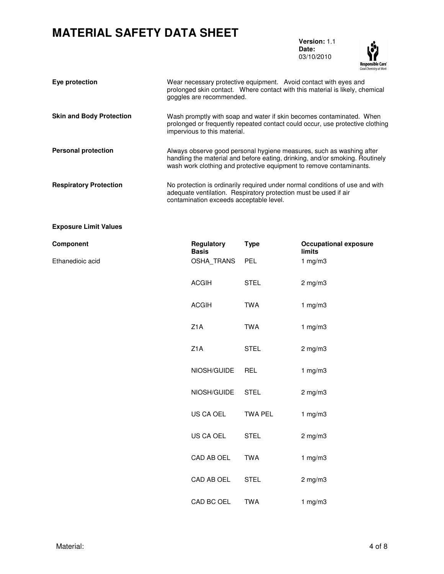**Version:** 1.1 **Date:** 03/10/2010



| Eye protection                  | Wear necessary protective equipment. Avoid contact with eyes and<br>prolonged skin contact. Where contact with this material is likely, chemical<br>goggles are recommended.                                                |
|---------------------------------|-----------------------------------------------------------------------------------------------------------------------------------------------------------------------------------------------------------------------------|
| <b>Skin and Body Protection</b> | Wash promptly with soap and water if skin becomes contaminated. When<br>prolonged or frequently repeated contact could occur, use protective clothing<br>impervious to this material.                                       |
| <b>Personal protection</b>      | Always observe good personal hygiene measures, such as washing after<br>handling the material and before eating, drinking, and/or smoking. Routinely<br>wash work clothing and protective equipment to remove contaminants. |
| <b>Respiratory Protection</b>   | No protection is ordinarily required under normal conditions of use and with<br>adequate ventilation. Respiratory protection must be used if air<br>contamination exceeds acceptable level.                                 |

#### **Exposure Limit Values**

| Component        | <b>Regulatory</b><br><b>Basis</b> | Type           | <b>Occupational exposure</b><br>limits |
|------------------|-----------------------------------|----------------|----------------------------------------|
| Ethanedioic acid | OSHA_TRANS                        | <b>PEL</b>     | 1 $mg/m3$                              |
|                  | <b>ACGIH</b>                      | <b>STEL</b>    | $2$ mg/m $3$                           |
|                  | <b>ACGIH</b>                      | <b>TWA</b>     | 1 $mg/m3$                              |
|                  | Z <sub>1</sub> A                  | <b>TWA</b>     | 1 $mg/m3$                              |
|                  | Z <sub>1</sub> A                  | <b>STEL</b>    | $2$ mg/m $3$                           |
|                  | NIOSH/GUIDE                       | <b>REL</b>     | 1 $mg/m3$                              |
|                  | NIOSH/GUIDE                       | <b>STEL</b>    | $2$ mg/m $3$                           |
|                  | US CA OEL                         | <b>TWA PEL</b> | 1 $mg/m3$                              |
|                  | US CA OEL                         | <b>STEL</b>    | $2$ mg/m $3$                           |
|                  | CAD AB OEL                        | <b>TWA</b>     | 1 $mg/m3$                              |
|                  | CAD AB OEL                        | <b>STEL</b>    | $2$ mg/m $3$                           |
|                  | CAD BC OEL                        | <b>TWA</b>     | 1 $mg/m3$                              |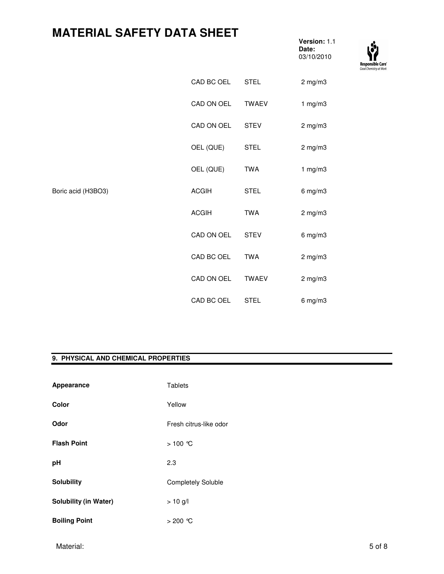**Version:** 1.1 **Date:** 03/10/2010



|                    | CAD BC OEL   | <b>STEL</b>  | $2$ mg/m $3$ |
|--------------------|--------------|--------------|--------------|
|                    | CAD ON OEL   | <b>TWAEV</b> | 1 mg/m3      |
|                    | CAD ON OEL   | <b>STEV</b>  | $2$ mg/m $3$ |
|                    | OEL (QUE)    | <b>STEL</b>  | $2$ mg/m $3$ |
|                    | OEL (QUE)    | <b>TWA</b>   | 1 mg/m3      |
| Boric acid (H3BO3) | <b>ACGIH</b> | <b>STEL</b>  | $6$ mg/m $3$ |
|                    | <b>ACGIH</b> | <b>TWA</b>   | $2$ mg/m $3$ |
|                    | CAD ON OEL   | <b>STEV</b>  | $6$ mg/m $3$ |
|                    | CAD BC OEL   | <b>TWA</b>   | $2$ mg/m $3$ |
|                    | CAD ON OEL   | <b>TWAEV</b> | $2$ mg/m $3$ |
|                    | CAD BC OEL   | <b>STEL</b>  | $6$ mg/m $3$ |

#### **9. PHYSICAL AND CHEMICAL PROPERTIES**

| Appearance                   | <b>Tablets</b>            |
|------------------------------|---------------------------|
| Color                        | Yellow                    |
| Odor                         | Fresh citrus-like odor    |
| <b>Flash Point</b>           | > 100 ℃                   |
| pH                           | 2.3                       |
| <b>Solubility</b>            | <b>Completely Soluble</b> |
| <b>Solubility (in Water)</b> | $> 10$ g/l                |
| <b>Boiling Point</b>         | $>$ 200 ℃                 |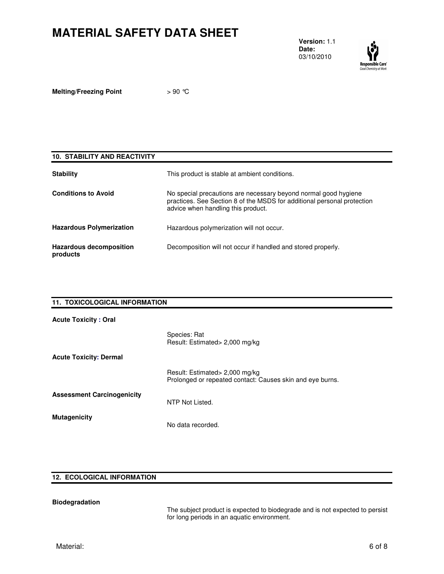**Version:** 1.1 **Date:** 03/10/2010



**Melting/Freezing Point**  $> 90$  °C

| <b>10. STABILITY AND REACTIVITY</b>        |                                                                                                                                                                                  |
|--------------------------------------------|----------------------------------------------------------------------------------------------------------------------------------------------------------------------------------|
| <b>Stability</b>                           | This product is stable at ambient conditions.                                                                                                                                    |
| <b>Conditions to Avoid</b>                 | No special precautions are necessary beyond normal good hygiene<br>practices. See Section 8 of the MSDS for additional personal protection<br>advice when handling this product. |
| <b>Hazardous Polymerization</b>            | Hazardous polymerization will not occur.                                                                                                                                         |
| <b>Hazardous decomposition</b><br>products | Decomposition will not occur if handled and stored properly.                                                                                                                     |

| 11. TOXICOLOGICAL INFORMATION     |                                                                                             |  |
|-----------------------------------|---------------------------------------------------------------------------------------------|--|
| <b>Acute Toxicity: Oral</b>       |                                                                                             |  |
|                                   | Species: Rat<br>Result: Estimated> 2,000 mg/kg                                              |  |
| <b>Acute Toxicity: Dermal</b>     |                                                                                             |  |
|                                   | Result: Estimated> 2,000 mg/kg<br>Prolonged or repeated contact: Causes skin and eye burns. |  |
| <b>Assessment Carcinogenicity</b> | NTP Not Listed.                                                                             |  |
| <b>Mutagenicity</b>               | No data recorded.                                                                           |  |

### **12. ECOLOGICAL INFORMATION**

### **Biodegradation**

The subject product is expected to biodegrade and is not expected to persist for long periods in an aquatic environment.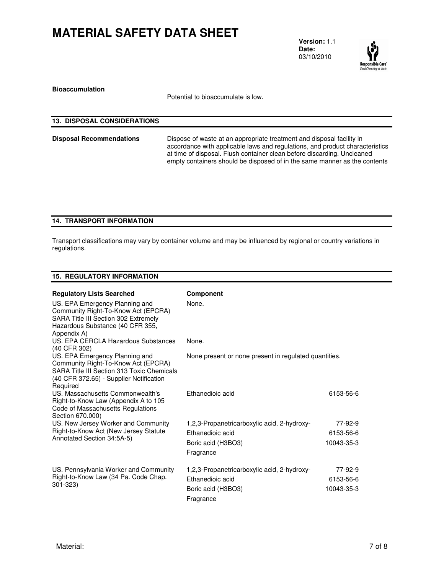**Version:** 1.1 **Date:** 03/10/2010



**Bioaccumulation** 

Potential to bioaccumulate is low.

| <b>13. DISPOSAL CONSIDERATIONS</b> |                                                                                                                                                                                                                                                                                                               |
|------------------------------------|---------------------------------------------------------------------------------------------------------------------------------------------------------------------------------------------------------------------------------------------------------------------------------------------------------------|
| <b>Disposal Recommendations</b>    | Dispose of waste at an appropriate treatment and disposal facility in<br>accordance with applicable laws and regulations, and product characteristics<br>at time of disposal. Flush container clean before discarding. Uncleaned<br>empty containers should be disposed of in the same manner as the contents |

### **14. TRANSPORT INFORMATION**

Transport classifications may vary by container volume and may be influenced by regional or country variations in regulations.

### **15. REGULATORY INFORMATION**

| <b>Regulatory Lists Searched</b><br>US. EPA Emergency Planning and<br>Community Right-To-Know Act (EPCRA)<br>SARA Title III Section 302 Extremely<br>Hazardous Substance (40 CFR 355,<br>Appendix A) | <b>Component</b><br>None.                                       |                      |  |
|------------------------------------------------------------------------------------------------------------------------------------------------------------------------------------------------------|-----------------------------------------------------------------|----------------------|--|
| U.S. FPA CERCLA Hazardous Substances<br>(40 CFR 302)                                                                                                                                                 | None.                                                           |                      |  |
| US. EPA Emergency Planning and<br>Community Right-To-Know Act (EPCRA)<br><b>SARA Title III Section 313 Toxic Chemicals</b><br>(40 CFR 372.65) - Supplier Notification<br>Required                    | None present or none present in regulated quantities.           |                      |  |
| US. Massachusetts Commonwealth's<br>Right-to-Know Law (Appendix A to 105<br>Code of Massachusetts Regulations<br>Section 670.000)                                                                    | <b>Ethanedioic acid</b>                                         | 6153-56-6            |  |
| US. New Jersey Worker and Community                                                                                                                                                                  | 1,2,3-Propanetricarboxylic acid, 2-hydroxy-                     | 77-92-9              |  |
| Right-to-Know Act (New Jersey Statute<br>Annotated Section 34:5A-5)                                                                                                                                  | <b>Ethanedioic acid</b>                                         | 6153-56-6            |  |
|                                                                                                                                                                                                      | Boric acid (H3BO3)<br>Fragrance                                 | 10043-35-3           |  |
| US. Pennsylvania Worker and Community<br>Right-to-Know Law (34 Pa. Code Chap.                                                                                                                        | 1,2,3-Propanetricarboxylic acid, 2-hydroxy-<br>Ethanedioic acid | 77-92-9<br>6153-56-6 |  |
| $301 - 323$                                                                                                                                                                                          | Boric acid (H3BO3)<br>Fragrance                                 | 10043-35-3           |  |